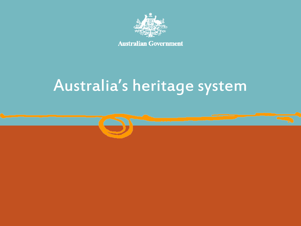

**Australian Government** 

# Australia's heritage system

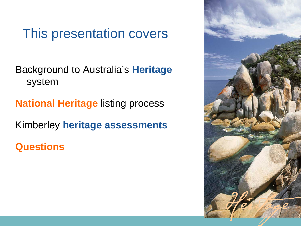#### This presentation covers

Background to Australia's **Heritage** system

**National Heritage** listing process

Kimberley **heritage assessments**

**Questions** 

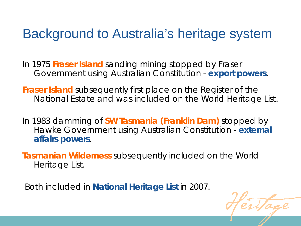#### Background to Australia's heritage system

In 1975 **Fraser Island** sanding mining stopped by Fraser Government using Australian Constitution - **export powers**.

**Fraser Island** subsequently first place on the Register of the National Estate and was included on the World Heritage List.

In 1983 damming of **SW Tasmania (Franklin Dam)** stopped by Hawke Government using Australian Constitution - **external affairs powers**.

**Tasmanian Wilderness** subsequently included on the World Heritage List.

Both included in **National Heritage List** in 2007.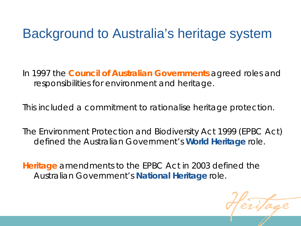#### Background to Australia's heritage system

In 1997 the **Council of Australian Governments** agreed roles and responsibilities for environment and heritage.

This included a commitment to rationalise heritage protection.

The *Environment Protection and Biodiversity Act 1999* (EPBC Act) defined the Australian Government's **World Heritage** role.

**Heritage** amendments to the EPBC Act in 2003 defined the Australian Government's **National Heritage** role.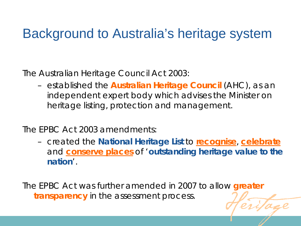#### Background to Australia's heritage system

The *Australian Heritage Council Act 2003*:

– established the **Australian Heritage Council** (AHC), as an independent expert body which advises the Minister on heritage listing, protection and management.

The EPBC Act 2003 amendments:

– created the **National Heritage List** to **recognise**, **celebrate** and **conserve places** of '*outstanding heritage value to the nation*'.

The EPBC Act was further amended in 2007 to allow **greater transparency** in the assessment process.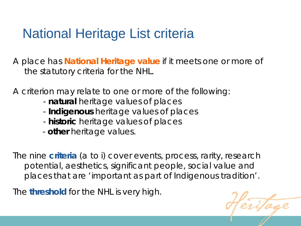### National Heritage List criteria

A place has **National Heritage value** if it meets one or more of the statutory criteria for the NHL.

A criterion may relate to one or more of the following:

- **natural** heritage values of places
- **Indigenous** heritage values of places
- **historic** heritage values of places
- **other** heritage values.

The nine **criteria** (a to i) cover events, process, rarity, research potential, aesthetics, significant people, social value and places that are 'important as part of Indigenous tradition'.

The **threshold** for the NHL is very high.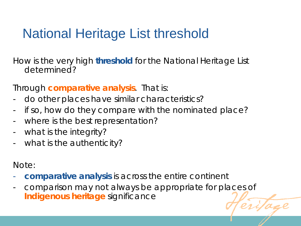# National Heritage List threshold

How is the very high **threshold** for the National Heritage List determined?

Through **comparative analysis**. That is:

- do other places have similar characteristics?
- if so, how do they compare with the nominated place?
- where is the best representation?
- what is the integrity?
- what is the authenticity?

Note:

- **comparative analysis** is across the entire continent
- comparison may not always be appropriate for places of **Indigenous heritage** significance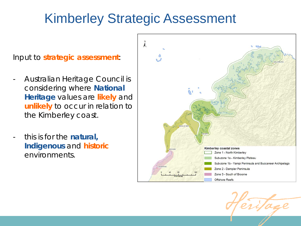### Kimberley Strategic Assessment

Input to **strategic assessment**:

- Australian Heritage Council is considering where **National Heritage** values are **likely** and **unlikely** to occur in relation to the Kimberley coast.
- this is for the **natural, Indigenous** and **historic** environments.



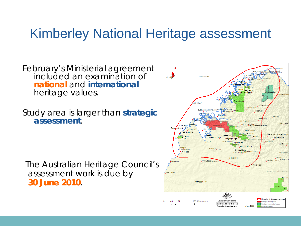#### Kimberley National Heritage assessment

February's Ministerial agreement included an examination of **national** and **international**  heritage values.

Study area is larger than **strategic assessment**.

The Australian Heritage Council's assessment work is due by **30 June 2010**.